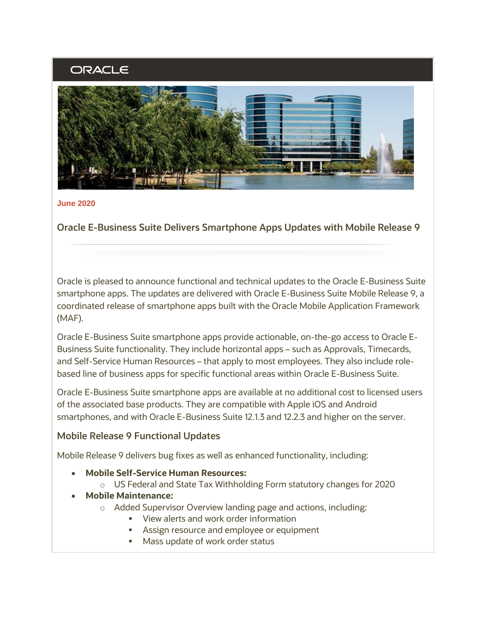# ORACLE



#### **June 2020**

**Oracle E-Business Suite Delivers Smartphone Apps Updates with Mobile Release 9**

Oracle is pleased to announce functional and technical updates to the Oracle E-Business Suite smartphone apps. The updates are delivered with Oracle E-Business Suite Mobile Release 9, a coordinated release of smartphone apps built with the Oracle Mobile Application Framework (MAF).

Oracle E-Business Suite smartphone apps provide actionable, on-the-go access to Oracle E-Business Suite functionality. They include horizontal apps – such as Approvals, Timecards, and Self-Service Human Resources – that apply to most employees. They also include rolebased line of business apps for specific functional areas within Oracle E-Business Suite.

Oracle E-Business Suite smartphone apps are available at no additional cost to licensed users of the associated base products. They are compatible with Apple iOS and Android smartphones, and with Oracle E-Business Suite 12.1.3 and 12.2.3 and higher on the server.

#### **Mobile Release 9 Functional Updates**

Mobile Release 9 delivers bug fixes as well as enhanced functionality, including:

- **Mobile Self-Service Human Resources:**
	- o US Federal and State Tax Withholding Form statutory changes for 2020
- **Mobile Maintenance:**
	- o Added Supervisor Overview landing page and actions, including:
		- View alerts and work order information
		- Assign resource and employee or equipment
		- Mass update of work order status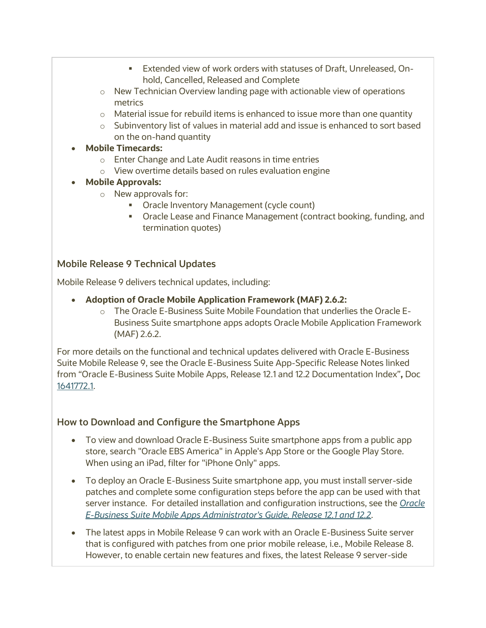- Extended view of work orders with statuses of Draft, Unreleased, Onhold, Cancelled, Released and Complete
- o New Technician Overview landing page with actionable view of operations metrics
- $\circ$  Material issue for rebuild items is enhanced to issue more than one quantity
- $\circ$  Subinventory list of values in material add and issue is enhanced to sort based on the on-hand quantity
- **Mobile Timecards:**
	- o Enter Change and Late Audit reasons in time entries
	- o View overtime details based on rules evaluation engine
- **Mobile Approvals:**
	- o New approvals for:
		- Oracle Inventory Management (cycle count)
		- Oracle Lease and Finance Management (contract booking, funding, and termination quotes)

# **Mobile Release 9 Technical Updates**

Mobile Release 9 delivers technical updates, including:

- **Adoption of Oracle Mobile Application Framework (MAF) 2.6.2:**
	- o The Oracle E-Business Suite Mobile Foundation that underlies the Oracle E-Business Suite smartphone apps adopts Oracle Mobile Application Framework (MAF) 2.6.2.

For more details on the functional and technical updates delivered with Oracle E-Business Suite Mobile Release 9, see the Oracle E-Business Suite App-Specific Release Notes linked from "Oracle E-Business Suite Mobile Apps, Release 12.1 and 12.2 Documentation Index"**,** Doc [1641772.1.](https://support.oracle.com/rs?type=doc&id=1641772.1)

## **How to Download and Configure the Smartphone Apps**

- To view and download Oracle E-Business Suite smartphone apps from a public app store, search "Oracle EBS America" in Apple's App Store or the Google Play Store. When using an iPad, filter for "iPhone Only" apps.
- To deploy an Oracle E-Business Suite smartphone app, you must install server-side patches and complete some configuration steps before the app can be used with that server instance. For detailed installation and configuration instructions, see the *[Oracle](http://docs.oracle.com/cd/E26401_01/doc.122/e64384.pdf)  [E-Business Suite Mobile Apps Administrator's Guide, Release 12.1 and 12.2](http://docs.oracle.com/cd/E26401_01/doc.122/e64384.pdf)*.
- The latest apps in Mobile Release 9 can work with an Oracle E-Business Suite server that is configured with patches from one prior mobile release, i.e., Mobile Release 8. However, to enable certain new features and fixes, the latest Release 9 server-side